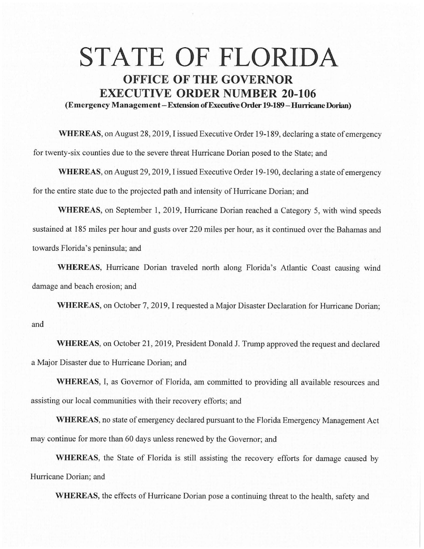## **STATE OF FLORIDA OFFICE OF THE GOVERNOR EXECUTIVE ORDER NUMBER 20-106 (Emergency Management -Extension of Executive Order 19-189-Hunicane Dorian)**

**WHEREAS,** on August 28, 2019, I issued Executive Order 19-189, declaring a state of emergency for twenty-six counties due to the severe threat Hurricane Dorian posed to the State; and

**WHEREAS,** on August 29, 2019, I issued Executive Order 19-190, declaring a state of emergency for the entire state due to the projected path and intensity of Hurricane Dorian; and

**WHEREAS,** on September 1, 2019, Hurricane Dorian reached a Category 5, with wind speeds sustained at 185 miles per hour and gusts over 220 miles per hour, as it continued over the Bahamas and towards Florida's peninsula; and

**WHEREAS,** Hurricane Dorian traveled north along Florida's Atlantic Coast causing wind damage and beach erosion; and

**WHEREAS,** on October 7, 2019, I requested a Major Disaster Declaration for Hurricane Dorian; and

**WHEREAS,** on October 21, 2019, President Donald J. Trump approved the request and declared a Major Disaster due to Hurricane Dorian; and

**WHEREAS,** I, as Governor of Florida, am committed to providing all available resources and assisting our local communities with their recovery efforts; and

**WHEREAS,** no state of emergency declared pursuant to the Florida Emergency Management Act may continue for more than 60 days unless renewed by the Governor; and

**WHEREAS,** the State of Florida is still assisting the recovery efforts for damage caused by Hurricane Dorian; and

**WHEREAS,** the effects of Hurricane Dorian pose a continuing threat to the health, safety and